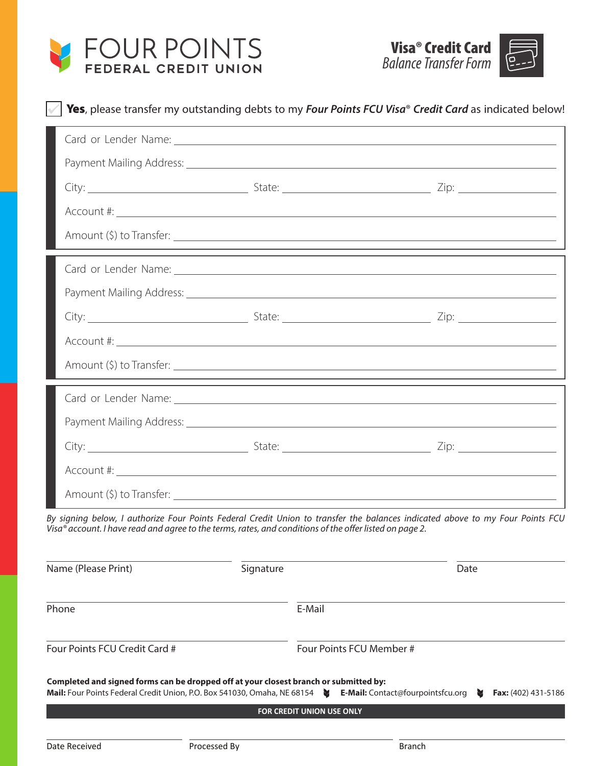



|                               |                                                                                                                                                                   | Card or Lender Name: Letter and the contract of the contract of the contract of the contract of the contract of the contract of the contract of the contract of the contract of the contract of the contract of the contract o           |
|-------------------------------|-------------------------------------------------------------------------------------------------------------------------------------------------------------------|------------------------------------------------------------------------------------------------------------------------------------------------------------------------------------------------------------------------------------------|
|                               |                                                                                                                                                                   |                                                                                                                                                                                                                                          |
|                               |                                                                                                                                                                   |                                                                                                                                                                                                                                          |
|                               |                                                                                                                                                                   |                                                                                                                                                                                                                                          |
|                               |                                                                                                                                                                   |                                                                                                                                                                                                                                          |
|                               |                                                                                                                                                                   |                                                                                                                                                                                                                                          |
|                               |                                                                                                                                                                   |                                                                                                                                                                                                                                          |
|                               |                                                                                                                                                                   |                                                                                                                                                                                                                                          |
|                               |                                                                                                                                                                   |                                                                                                                                                                                                                                          |
|                               |                                                                                                                                                                   |                                                                                                                                                                                                                                          |
|                               |                                                                                                                                                                   | By signing below, I authorize Four Points Federal Credit Union to transfer the balances indicated above to my Four Points FCU<br>Visa® account. I have read and agree to the terms, rates, and conditions of the offer listed on page 2. |
| Name (Please Print)           | Signature                                                                                                                                                         | Date                                                                                                                                                                                                                                     |
| Phone                         |                                                                                                                                                                   | E-Mail                                                                                                                                                                                                                                   |
| Four Points FCU Credit Card # |                                                                                                                                                                   | Four Points FCU Member #                                                                                                                                                                                                                 |
|                               | Completed and signed forms can be dropped off at your closest branch or submitted by:<br>Mail: Four Points Federal Credit Union, P.O. Box 541030, Omaha, NE 68154 | E-Mail: Contact@fourpointsfcu.org<br>M<br>Fax: (402) 431-5186                                                                                                                                                                            |
|                               |                                                                                                                                                                   | <b>FOR CREDIT UNION USE ONLY</b>                                                                                                                                                                                                         |
|                               |                                                                                                                                                                   |                                                                                                                                                                                                                                          |
| Date Received                 | Processed By                                                                                                                                                      | <b>Branch</b>                                                                                                                                                                                                                            |